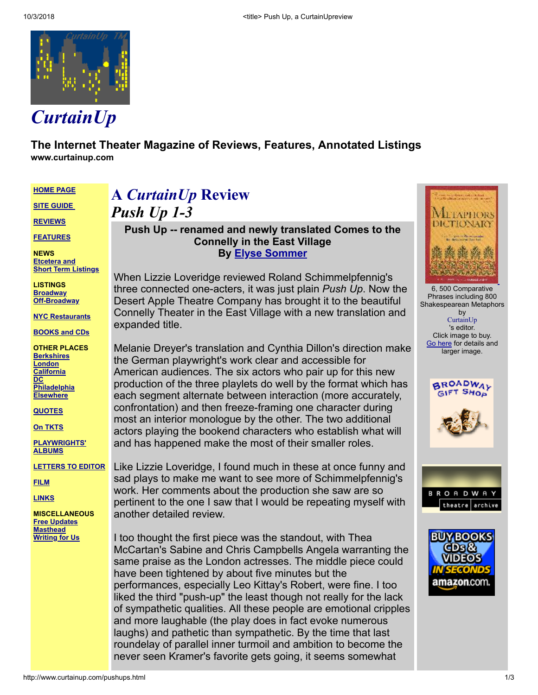

**The Internet Theater Magazine of Reviews, Features, Annotated Listings www.curtainup.com**

**[HOME](http://www.curtainup.com/index.html) PAGE**

**SITE [GUIDE](http://www.curtainup.com/siteguide.html)**

**[REVIEWS](http://www.curtainup.com/goingall.html)**

**[FEATURES](http://www.curtainup.com/mastftr.html)**

**NEWS [Etcetera](http://www.curtainup.com/etc.html) and Short Term Listings**

**LISTINGS [Broadway](http://www.curtainup.com/add-bway.html) [Off-Broadway](http://www.curtainup.com/add-offb.html)**

**NYC [Restaurants](http://www.curtainup.com/restaurants.html)**

**[BOOKS](http://www.curtainup.com/bookstor.html) and CDs**

**OTHER PLACES [Berkshires](http://www.curtainup.com/berkmain.html) [London](http://www.curtainup.com/londlink.html) [California](http://www.curtainup.com/la-main.html) [DC](http://www.curtainup.com/dcnewandnoteworthy.html) [Philadelphia](http://www.curtainup.com/philadelphia.html) [Elsewhere](http://www.curtainup.com/elsewhere.html)**

**[QUOTES](http://www.curtainup.com/timelyquotes.html)**

**On [TKTS](http://www.curtainup.com/tkts.html)**

**[PLAYWRIGHTS'](http://www.curtainup.com/authalbu.html) ALBUMS**

**[LETTERS](http://www.curtainup.com/letters.html) TO EDITOR**

**[FILM](http://www.curtainup.com/movitalk.html)**

**[LINKS](http://www.curtainup.com/links.html)**

**MISCELLANEOUS Free [Updates](http://www.curtainup.com/email.html) [Masthead](http://www.curtainup.com/masthead.html) [Writing](http://www.curtainup.com/curtainupguidelines.html) for Us**

## **A** *CurtainUp* **Review** *Push Up 1-3*

**Push Up -- renamed and newly translated Comes to the Connelly in the East Village By [Elyse Sommer](http://www.curtainup.com/elybio.html)**

When Lizzie Loveridge reviewed Roland Schimmelpfennig's three connected one-acters, it was just plain *Push Up*. Now the Desert Apple Theatre Company has brought it to the beautiful Connelly Theater in the East Village with a new translation and expanded title.

Melanie Dreyer's translation and Cynthia Dillon's direction make the German playwright's work clear and accessible for American audiences. The six actors who pair up for this new production of the three playlets do well by the format which has each segment alternate between interaction (more accurately, confrontation) and then freeze-framing one character during most an interior monologue by the other. The two additional actors playing the bookend characters who establish what will and has happened make the most of their smaller roles.

Like Lizzie Loveridge, I found much in these at once funny and sad plays to make me want to see more of Schimmelpfennig's work. Her comments about the production she saw are so pertinent to the one I saw that I would be repeating myself with another detailed review.

I too thought the first piece was the standout, with Thea McCartan's Sabine and Chris Campbells Angela warranting the same praise as the London actresses. The middle piece could have been tightened by about five minutes but the performances, especially Leo Kittay's Robert, were fine. I too liked the third "push-up" the least though not really for the lack of sympathetic qualities. All these people are emotional cripples and more laughable (the play does in fact evoke numerous laughs) and pathetic than sympathetic. By the time that last roundelay of parallel inner turmoil and ambition to become the never seen Kramer's favorite gets going, it seems somewhat

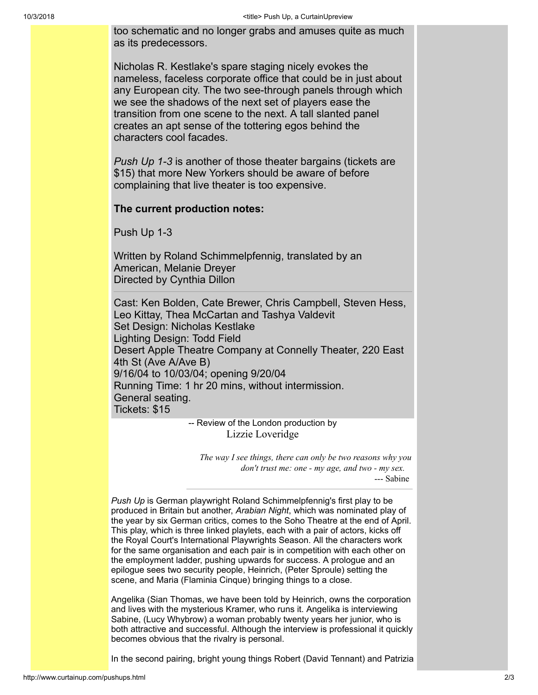too schematic and no longer grabs and amuses quite as much as its predecessors.

Nicholas R. Kestlake's spare staging nicely evokes the nameless, faceless corporate office that could be in just about any European city. The two see-through panels through which we see the shadows of the next set of players ease the transition from one scene to the next. A tall slanted panel creates an apt sense of the tottering egos behind the characters cool facades.

*Push Up 1-3* is another of those theater bargains (tickets are \$15) that more New Yorkers should be aware of before complaining that live theater is too expensive.

## **The current production notes:**

Push Up 1-3

Written by Roland Schimmelpfennig, translated by an American, Melanie Dreyer Directed by Cynthia Dillon

Cast: Ken Bolden, Cate Brewer, Chris Campbell, Steven Hess, Leo Kittay, Thea McCartan and Tashya Valdevit Set Design: Nicholas Kestlake Lighting Design: Todd Field Desert Apple Theatre Company at Connelly Theater, 220 East 4th St (Ave A/Ave B) 9/16/04 to 10/03/04; opening 9/20/04 Running Time: 1 hr 20 mins, without intermission. General seating. Tickets: \$15

> -- Review of the London production by Lizzie Loveridge

*The way I see things, there can only be two reasons why you don't trust me: one - my age, and two - my sex.* --- Sabine

*Push Up* is German playwright Roland Schimmelpfennig's first play to be produced in Britain but another, *Arabian Night*, which was nominated play of the year by six German critics, comes to the Soho Theatre at the end of April. This play, which is three linked playlets, each with a pair of actors, kicks off the Royal Court's International Playwrights Season. All the characters work for the same organisation and each pair is in competition with each other on the employment ladder, pushing upwards for success. A prologue and an epilogue sees two security people, Heinrich, (Peter Sproule) setting the scene, and Maria (Flaminia Cinque) bringing things to a close.

Angelika (Sian Thomas, we have been told by Heinrich, owns the corporation and lives with the mysterious Kramer, who runs it. Angelika is interviewing Sabine, (Lucy Whybrow) a woman probably twenty years her junior, who is both attractive and successful. Although the interview is professional it quickly becomes obvious that the rivalry is personal.

In the second pairing, bright young things Robert (David Tennant) and Patrizia